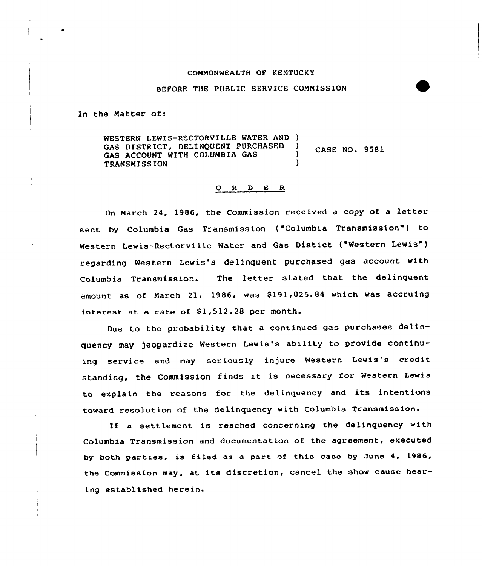## COMMONWEALTH OP KENTUCKY

## BEFORE THE PUBLIC SERVICE COMMISSION

In the Matter of:

WESTERN LEWIS-RECTORVILLE WATER AND )<br>GAS DISTRICT. DELINOUENT PURCHASED ) GAS DISTRICT, DELINQUENT PURCHASED **CASE NO. 9581** GAS ACCOUNT WITH COLUMBIA GAS TRANSMISSION )

## 0 R <sup>D</sup> E R

On March 24, 1986, the Commission received <sup>a</sup> copy of <sup>a</sup> letter sent by Columbia Gas Transmission ("Columbia Transmission") to Western Lewis-Rectorville Water and Gas Distict ("Western Lewis") regarding Western Lewis's delinquent purchased gas account with Columbia Transmission. The letter stated that the delinquent amount as of March 21, 1986, was \$191,025.84 which was accruing interest at a rate of Sl,512.28 per month.

Due to the probability that <sup>a</sup> continued gas purchases delinquency may jeopardize Western Lewis's ability to provide continuing service and may seriously injure Western Lewis's credit standing, the Commission finds it is necessary for Western Lewis to explain the reasons for the delinquency and its intentions toward resolution of the delinquency with Columbia Transmission.

If a settlement is reached concerning the delinquency with Columbia Transmission and documentation of the agreement, executed by both parties, is filed as a part of this case by June 4, 1986, the Commission may, at its discretion, cancel the show cause hearing established herein.